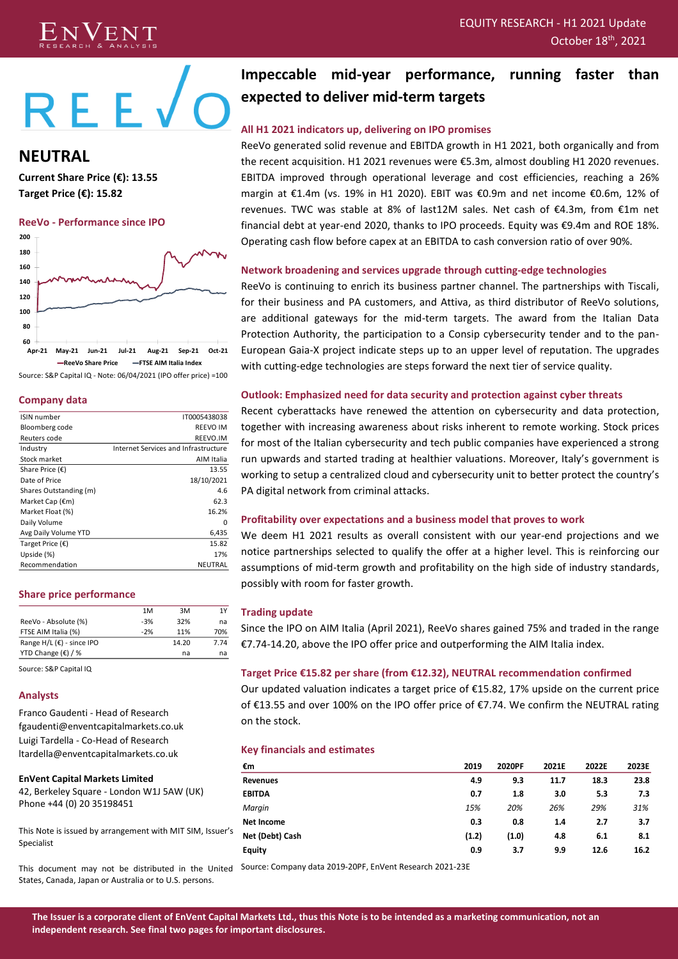# EQUITY RESEARCH - H1 2021 Update <sup>th</sup>, 2021



# $REE\sqrt{O}$

**NEUTRAL**

**Current Share Price (€): 13.55 Target Price (€): 15.82**

#### **ReeVo - Performance since IPO**



Source: S&P Capital IQ - Note: 06/04/2021 (IPO offer price) =100

#### **Company data**

| ISIN number               | IT0005438038                         |
|---------------------------|--------------------------------------|
| Bloomberg code            | <b>REEVO IM</b>                      |
| Reuters code              | REEVO.IM                             |
| Industry                  | Internet Services and Infrastructure |
| Stock market              | AIM Italia                           |
| Share Price $(\epsilon)$  | 13.55                                |
| Date of Price             | 18/10/2021                           |
| Shares Outstanding (m)    | 4.6                                  |
| Market Cap (€m)           | 62.3                                 |
| Market Float (%)          | 16.2%                                |
| Daily Volume              | ŋ                                    |
| Avg Daily Volume YTD      | 6,435                                |
| Target Price $(\epsilon)$ | 15.82                                |
| Upside (%)                | 17%                                  |
| Recommendation            | NEUTRAL                              |
|                           |                                      |

#### **Share price performance**

|                                        | 1M    | 3M    | 1Y   |
|----------------------------------------|-------|-------|------|
| ReeVo - Absolute (%)                   | $-3%$ | 32%   | na   |
| FTSE AIM Italia (%)                    | $-2%$ | 11%   | 70%  |
| Range $H/L$ ( $\epsilon$ ) - since IPO |       | 14.20 | 7.74 |
| YTD Change $(\epsilon)$ / %            |       | na    | na   |

Source: S&P Capital IQ

#### **Analysts**

Franco Gaudenti - Head of Research fgaudenti@enventcapitalmarkets.co.uk Luigi Tardella - Co-Head of Research ltardella@enventcapitalmarkets.co.uk

**EnVent Capital Markets Limited**  42, Berkeley Square - London W1J 5AW (UK) Phone +44 (0) 20 35198451

This Note is issued by arrangement with MIT SIM, Issuer's Specialist

This document may not be distributed in the United Source: Company data 2019-20PF, EnVent Research 2021-23EStates, Canada, Japan or Australia or to U.S. persons.

# **Impeccable mid-year performance, running faster than expected to deliver mid-term targets**

#### **All H1 2021 indicators up, delivering on IPO promises**

ReeVo generated solid revenue and EBITDA growth in H1 2021, both organically and from the recent acquisition. H1 2021 revenues were €5.3m, almost doubling H1 2020 revenues. EBITDA improved through operational leverage and cost efficiencies, reaching a 26% margin at €1.4m (vs. 19% in H1 2020). EBIT was €0.9m and net income €0.6m, 12% of revenues. TWC was stable at 8% of last12M sales. Net cash of €4.3m, from €1m net financial debt at year-end 2020, thanks to IPO proceeds. Equity was €9.4m and ROE 18%. Operating cash flow before capex at an EBITDA to cash conversion ratio of over 90%.

#### **Network broadening and services upgrade through cutting-edge technologies**

ReeVo is continuing to enrich its business partner channel. The partnerships with Tiscali, for their business and PA customers, and Attiva, as third distributor of ReeVo solutions, are additional gateways for the mid-term targets. The award from the Italian Data Protection Authority, the participation to a Consip cybersecurity tender and to the pan-European Gaia-X project indicate steps up to an upper level of reputation. The upgrades with cutting-edge technologies are steps forward the next tier of service quality.

#### **Outlook: Emphasized need for data security and protection against cyber threats**

Recent cyberattacks have renewed the attention on cybersecurity and data protection, together with increasing awareness about risks inherent to remote working. Stock prices for most of the Italian cybersecurity and tech public companies have experienced a strong run upwards and started trading at healthier valuations. Moreover, Italy's government is working to setup a centralized cloud and cybersecurity unit to better protect the country's PA digital network from criminal attacks.

#### **Profitability over expectations and a business model that proves to work**

We deem H1 2021 results as overall consistent with our year-end projections and we notice partnerships selected to qualify the offer at a higher level. This is reinforcing our assumptions of mid-term growth and profitability on the high side of industry standards, possibly with room for faster growth.

#### **Trading update**

Since the IPO on AIM Italia (April 2021), ReeVo shares gained 75% and traded in the range €7.74-14.20, above the IPO offer price and outperforming the AIM Italia index.

#### **Target Price €15.82 per share (from €12.32), NEUTRAL recommendation confirmed**

Our updated valuation indicates a target price of €15.82, 17% upside on the current price of €13.55 and over 100% on the IPO offer price of €7.74. We confirm the NEUTRAL rating on the stock.

#### **Key financials and estimates**

| €m              | 2019  | 2020PF | 2021E | 2022E | 2023E |
|-----------------|-------|--------|-------|-------|-------|
| Revenues        | 4.9   | 9.3    | 11.7  | 18.3  | 23.8  |
| <b>EBITDA</b>   | 0.7   | 1.8    | 3.0   | 5.3   | 7.3   |
| Margin          | 15%   | 20%    | 26%   | 29%   | 31%   |
| Net Income      | 0.3   | 0.8    | 1.4   | 2.7   | 3.7   |
| Net (Debt) Cash | (1.2) | (1.0)  | 4.8   | 6.1   | 8.1   |
| <b>Equity</b>   | 0.9   | 3.7    | 9.9   | 12.6  | 16.2  |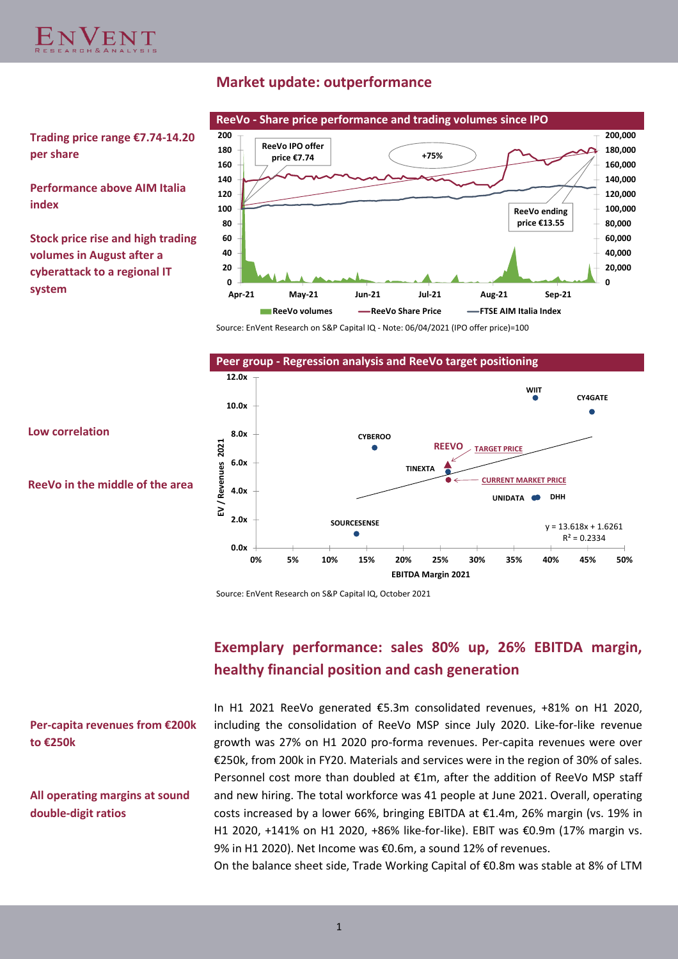

# **Market update: outperformance**



**Trading price range €7.74-14.20 per share**

**Performance above AIM Italia index**

**Stock price rise and high trading volumes in August after a cyberattack to a regional IT system**

Source: EnVent Research on S&P Capital IQ - Note: 06/04/2021 (IPO offer price)=100



Source: EnVent Research on S&P Capital IQ, October 2021

# **Exemplary performance: sales 80% up, 26% EBITDA margin, healthy financial position and cash generation**

**Per-capita revenues from €200k to €250k**

**All operating margins at sound double-digit ratios**

In H1 2021 ReeVo generated €5.3m consolidated revenues, +81% on H1 2020, including the consolidation of ReeVo MSP since July 2020. Like-for-like revenue growth was 27% on H1 2020 pro-forma revenues. Per-capita revenues were over €250k, from 200k in FY20. Materials and services were in the region of 30% of sales. Personnel cost more than doubled at €1m, after the addition of ReeVo MSP staff and new hiring. The total workforce was 41 people at June 2021. Overall, operating costs increased by a lower 66%, bringing EBITDA at €1.4m, 26% margin (vs. 19% in H1 2020, +141% on H1 2020, +86% like-for-like). EBIT was €0.9m (17% margin vs. 9% in H1 2020). Net Income was €0.6m, a sound 12% of revenues.

On the balance sheet side, Trade Working Capital of €0.8m was stable at 8% of LTM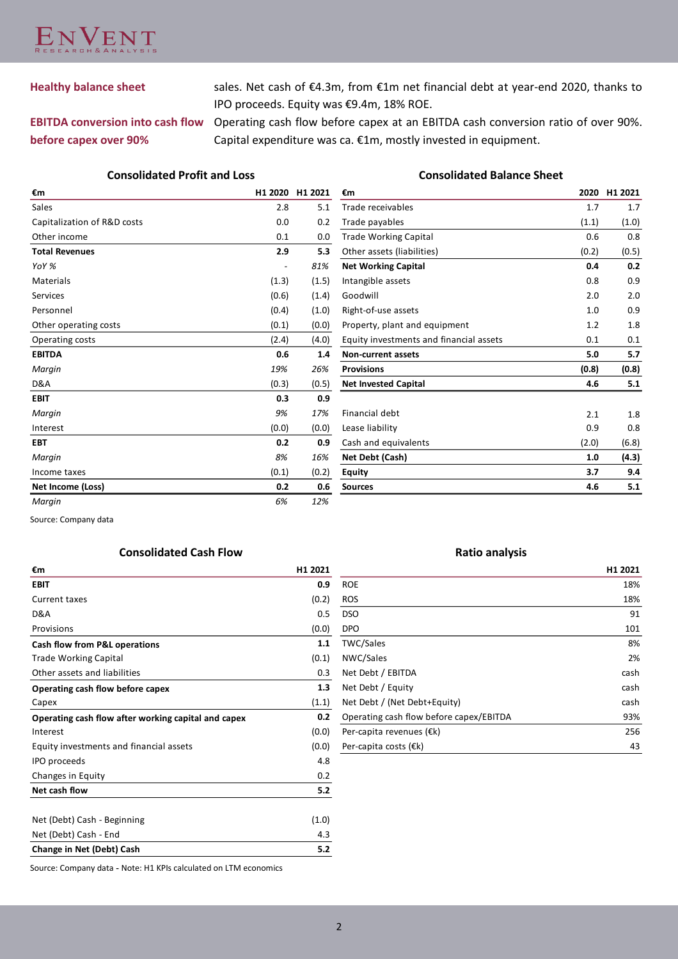

**Healthy balance sheet** sales. Net cash of €4.3m, from €1m net financial debt at year-end 2020, thanks to IPO proceeds. Equity was €9.4m, 18% ROE.

# **EBITDA conversion into cash flow before capex over 90%**

Operating cash flow before capex at an EBITDA cash conversion ratio of over 90%. Capital expenditure was ca. €1m, mostly invested in equipment.

#### **Consolidated Profit and Loss Consolidated Balance Sheet**

| €m                          | H1 2020 | H1 2021 |
|-----------------------------|---------|---------|
| Sales                       | 2.8     | 5.1     |
| Capitalization of R&D costs | 0.0     | 0.2     |
| Other income                | 0.1     | 0.0     |
| <b>Total Revenues</b>       | 2.9     | 5.3     |
| YoY %                       |         | 81%     |
| Materials                   | (1.3)   | (1.5)   |
| <b>Services</b>             | (0.6)   | (1.4)   |
| Personnel                   | (0.4)   | (1.0)   |
| Other operating costs       | (0.1)   | (0.0)   |
| Operating costs             | (2.4)   | (4.0)   |
| <b>EBITDA</b>               | 0.6     | 1.4     |
| Margin                      | 19%     | 26%     |
| D&A                         | (0.3)   | (0.5)   |
| <b>EBIT</b>                 | 0.3     | 0.9     |
| Margin                      | 9%      | 17%     |
| Interest                    | (0.0)   | (0.0)   |
| <b>EBT</b>                  | 0.2     | 0.9     |
| Margin                      | 8%      | 16%     |
| Income taxes                | (0.1)   | (0.2)   |
| Net Income (Loss)           | 0.2     | 0.6     |
| Margin                      | 6%      | 12%     |

| €m                                      | 2020  | H1 2021 |
|-----------------------------------------|-------|---------|
| Trade receivables                       | 1.7   | 1.7     |
| Trade payables                          | (1.1) | (1.0)   |
| <b>Trade Working Capital</b>            | 0.6   | 0.8     |
| Other assets (liabilities)              | (0.2) | (0.5)   |
| <b>Net Working Capital</b>              | 0.4   | 0.2     |
| Intangible assets                       | 0.8   | 0.9     |
| Goodwill                                | 2.0   | 2.0     |
| Right-of-use assets                     | 1.0   | 0.9     |
| Property, plant and equipment           | 1.2   | 1.8     |
| Equity investments and financial assets | 0.1   | 0.1     |
| <b>Non-current assets</b>               | 5.0   | 5.7     |
| <b>Provisions</b>                       | (0.8) | (0.8)   |
| <b>Net Invested Capital</b>             | 4.6   | 5.1     |
|                                         |       |         |
| Financial debt                          | 2.1   | 1.8     |
| Lease liability                         | 0.9   | 0.8     |
| Cash and equivalents                    | (2.0) | (6.8)   |
| Net Debt (Cash)                         | 1.0   | (4.3)   |
| <b>Equity</b>                           | 3.7   | 9.4     |
| <b>Sources</b>                          | 4.6   | 5.1     |

Source: Company data

### **Consolidated Cash Flow <b>Ratio analysis Ratio analysis**

| €m                                                  | H1 2021 |
|-----------------------------------------------------|---------|
| <b>EBIT</b>                                         | 0.9     |
| <b>Current taxes</b>                                | (0.2)   |
| D&A                                                 | 0.5     |
| Provisions                                          | (0.0)   |
| <b>Cash flow from P&amp;L operations</b>            | 1.1     |
| <b>Trade Working Capital</b>                        | (0.1)   |
| Other assets and liabilities                        | 0.3     |
| Operating cash flow before capex                    | 1.3     |
| Capex                                               | (1.1)   |
| Operating cash flow after working capital and capex | 0.2     |
| Interest                                            | (0.0)   |
| Equity investments and financial assets             | (0.0)   |
| <b>IPO</b> proceeds                                 | 4.8     |
| Changes in Equity                                   | 0.2     |
| Net cash flow                                       | 5.2     |
|                                                     |         |
| Net (Debt) Cash - Beginning                         | (1.0)   |
| Net (Debt) Cash - End                               | 4.3     |
| Change in Net (Debt) Cash                           | 5.2     |

|                                         | H1 2021 |
|-----------------------------------------|---------|
| <b>ROE</b>                              | 18%     |
| <b>ROS</b>                              | 18%     |
| <b>DSO</b>                              | 91      |
| <b>DPO</b>                              | 101     |
| <b>TWC/Sales</b>                        | 8%      |
| NWC/Sales                               | 2%      |
| Net Debt / EBITDA                       | cash    |
| Net Debt / Equity                       | cash    |
| Net Debt / (Net Debt+Equity)            | cash    |
| Operating cash flow before capex/EBITDA | 93%     |
| Per-capita revenues (€k)                | 256     |
| Per-capita costs $(\epsilon k)$         | 43      |

Source: Company data **-** Note: H1 KPIs calculated on LTM economics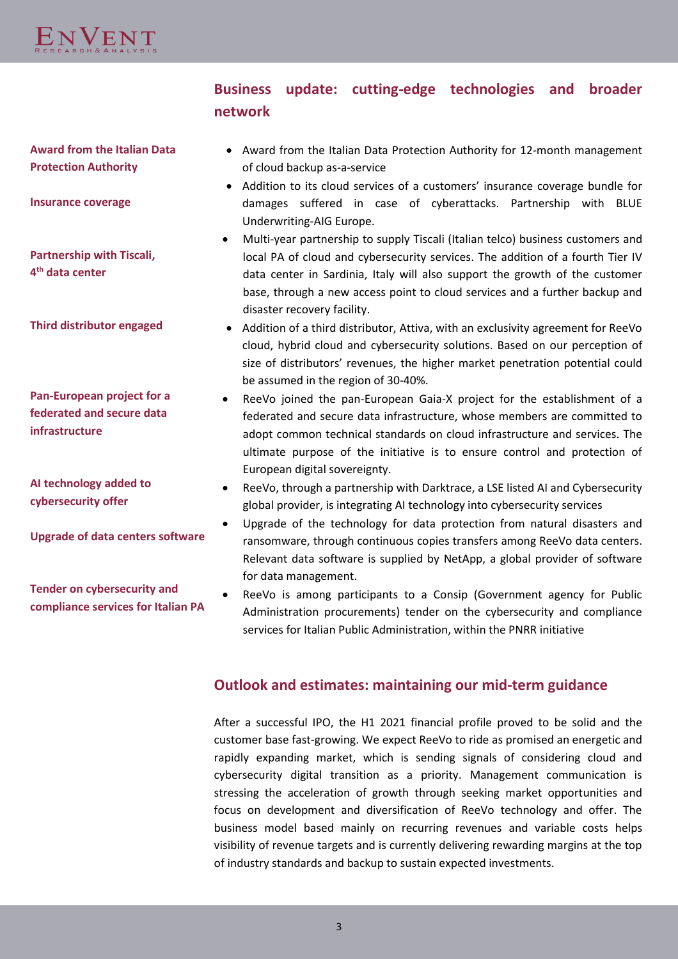

# **Business update: cutting-edge technologies and broader network**

**Award from the Italian Data Protection Authority**

**Insurance coverage** 

**Partnership with Tiscali, 4 th data center**

**Third distributor engaged**

**Pan-European project for a federated and secure data infrastructure**

**AI technology added to cybersecurity offer**

**Upgrade of data centers software**

**Tender on cybersecurity and compliance services for Italian PA**

- Award from the Italian Data Protection Authority for 12-month management of cloud backup as-a-service
- Addition to its cloud services of a customers' insurance coverage bundle for damages suffered in case of cyberattacks. Partnership with BLUE Underwriting-AIG Europe.
- Multi-year partnership to supply Tiscali (Italian telco) business customers and local PA of cloud and cybersecurity services. The addition of a fourth Tier IV data center in Sardinia, Italy will also support the growth of the customer base, through a new access point to cloud services and a further backup and disaster recovery facility.
- Addition of a third distributor, Attiva, with an exclusivity agreement for ReeVo cloud, hybrid cloud and cybersecurity solutions. Based on our perception of size of distributors' revenues, the higher market penetration potential could be assumed in the region of 30-40%.
- ReeVo joined the pan-European Gaia-X project for the establishment of a federated and secure data infrastructure, whose members are committed to adopt common technical standards on cloud infrastructure and services. The ultimate purpose of the initiative is to ensure control and protection of European digital sovereignty.
- ReeVo, through a partnership with Darktrace, a LSE listed AI and Cybersecurity global provider, is integrating AI technology into cybersecurity services
- Upgrade of the technology for data protection from natural disasters and ransomware, through continuous copies transfers among ReeVo data centers. Relevant data software is supplied by NetApp, a global provider of software for data management.
- ReeVo is among participants to a Consip (Government agency for Public Administration procurements) tender on the cybersecurity and compliance services for Italian Public Administration, within the PNRR initiative

# **Outlook and estimates: maintaining our mid-term guidance**

After a successful IPO, the H1 2021 financial profile proved to be solid and the customer base fast-growing. We expect ReeVo to ride as promised an energetic and rapidly expanding market, which is sending signals of considering cloud and cybersecurity digital transition as a priority. Management communication is stressing the acceleration of growth through seeking market opportunities and focus on development and diversification of ReeVo technology and offer. The business model based mainly on recurring revenues and variable costs helps visibility of revenue targets and is currently delivering rewarding margins at the top of industry standards and backup to sustain expected investments.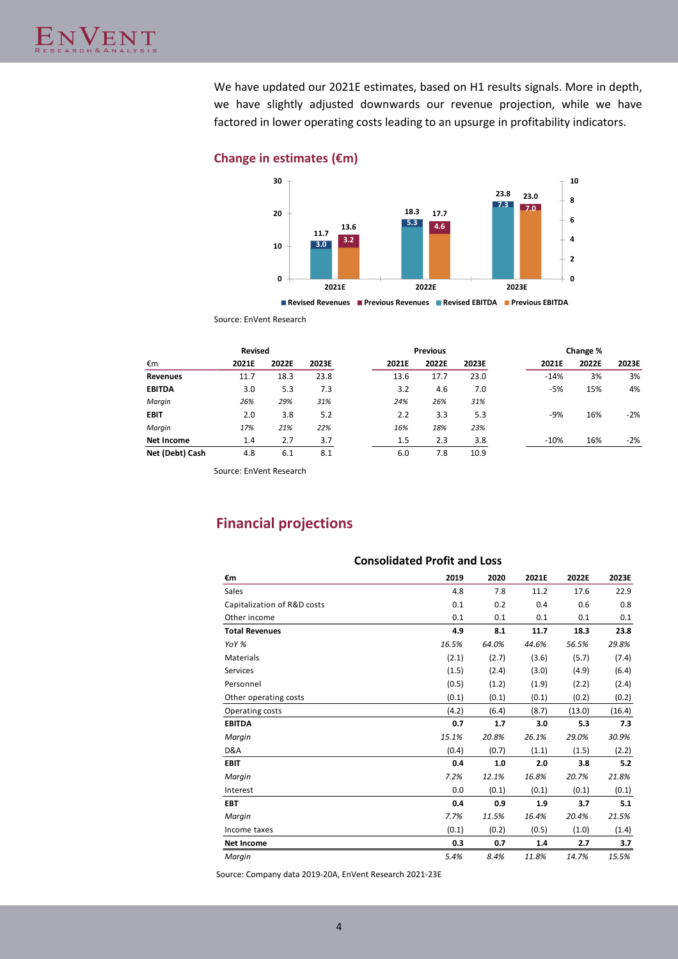We have updated our 2021E estimates, based on H1 results signals. More in depth, we have slightly adjusted downwards our revenue projection, while we have factored in lower operating costs leading to an upsurge in profitability indicators.

#### **Change in estimates (€m)**



**Revised Revenues Previous Revenues Revised EBITDA Previous EBITDA**

Source: EnVent Research

|                   | <b>Revised</b> |       |       |       | <b>Previous</b> |       |        | Change % |       |
|-------------------|----------------|-------|-------|-------|-----------------|-------|--------|----------|-------|
| €m                | 2021E          | 2022E | 2023E | 2021E | 2022E           | 2023E | 2021E  | 2022E    | 2023E |
| <b>Revenues</b>   | 11.7           | 18.3  | 23.8  | 13.6  | 17.7            | 23.0  | $-14%$ | 3%       | 3%    |
| <b>EBITDA</b>     | 3.0            | 5.3   | 7.3   | 3.2   | 4.6             | 7.0   | -5%    | 15%      | 4%    |
| Margin            | 26%            | 29%   | 31%   | 24%   | 26%             | 31%   |        |          |       |
| <b>EBIT</b>       | 2.0            | 3.8   | 5.2   | 2.2   | 3.3             | 5.3   | -9%    | 16%      | $-2%$ |
| Margin            | 17%            | 21%   | 22%   | 16%   | 18%             | 23%   |        |          |       |
| <b>Net Income</b> | 1.4            | 2.7   | 3.7   | 1.5   | 2.3             | 3.8   | $-10%$ | 16%      | $-2%$ |
| Net (Debt) Cash   | 4.8            | 6.1   | 8.1   | 6.0   | 7.8             | 10.9  |        |          |       |

Source: EnVent Research

# **Financial projections**

| <b>Consolidated Profit and Loss</b> |       |       |       |        |        |  |
|-------------------------------------|-------|-------|-------|--------|--------|--|
| €m                                  | 2019  | 2020  | 2021E | 2022E  | 2023E  |  |
| Sales                               | 4.8   | 7.8   | 11.2  | 17.6   | 22.9   |  |
| Capitalization of R&D costs         | 0.1   | 0.2   | 0.4   | 0.6    | 0.8    |  |
| Other income                        | 0.1   | 0.1   | 0.1   | 0.1    | 0.1    |  |
| <b>Total Revenues</b>               | 4.9   | 8.1   | 11.7  | 18.3   | 23.8   |  |
| YoY %                               | 16.5% | 64.0% | 44.6% | 56.5%  | 29.8%  |  |
| <b>Materials</b>                    | (2.1) | (2.7) | (3.6) | (5.7)  | (7.4)  |  |
| Services                            | (1.5) | (2.4) | (3.0) | (4.9)  | (6.4)  |  |
| Personnel                           | (0.5) | (1.2) | (1.9) | (2.2)  | (2.4)  |  |
| Other operating costs               | (0.1) | (0.1) | (0.1) | (0.2)  | (0.2)  |  |
| Operating costs                     | (4.2) | (6.4) | (8.7) | (13.0) | (16.4) |  |
| <b>EBITDA</b>                       | 0.7   | 1.7   | 3.0   | 5.3    | 7.3    |  |
| Margin                              | 15.1% | 20.8% | 26.1% | 29.0%  | 30.9%  |  |
| D&A                                 | (0.4) | (0.7) | (1.1) | (1.5)  | (2.2)  |  |
| <b>EBIT</b>                         | 0.4   | 1.0   | 2.0   | 3.8    | 5.2    |  |
| Margin                              | 7.2%  | 12.1% | 16.8% | 20.7%  | 21.8%  |  |
| Interest                            | 0.0   | (0.1) | (0.1) | (0.1)  | (0.1)  |  |
| <b>EBT</b>                          | 0.4   | 0.9   | 1.9   | 3.7    | 5.1    |  |
| Margin                              | 7.7%  | 11.5% | 16.4% | 20.4%  | 21.5%  |  |
| Income taxes                        | (0.1) | (0.2) | (0.5) | (1.0)  | (1.4)  |  |
| <b>Net Income</b>                   | 0.3   | 0.7   | 1.4   | 2.7    | 3.7    |  |
| Margin                              | 5.4%  | 8.4%  | 11.8% | 14.7%  | 15.5%  |  |

Source: Company data 2019-20A, EnVent Research 2021-23E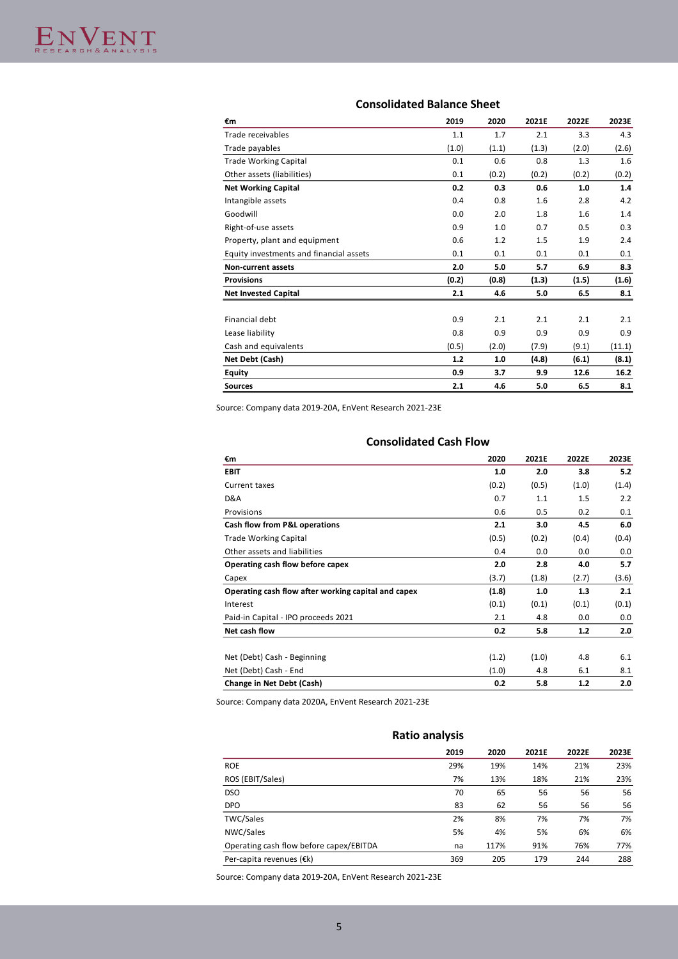## **Consolidated Balance Sheet**

| €m                                      | 2019  | 2020  | 2021E | 2022E | 2023E  |
|-----------------------------------------|-------|-------|-------|-------|--------|
| Trade receivables                       | 1.1   | 1.7   | 2.1   | 3.3   | 4.3    |
| Trade payables                          | (1.0) | (1.1) | (1.3) | (2.0) | (2.6)  |
| <b>Trade Working Capital</b>            | 0.1   | 0.6   | 0.8   | 1.3   | 1.6    |
| Other assets (liabilities)              | 0.1   | (0.2) | (0.2) | (0.2) | (0.2)  |
| <b>Net Working Capital</b>              | 0.2   | 0.3   | 0.6   | 1.0   | 1.4    |
| Intangible assets                       | 0.4   | 0.8   | 1.6   | 2.8   | 4.2    |
| Goodwill                                | 0.0   | 2.0   | 1.8   | 1.6   | 1.4    |
| Right-of-use assets                     | 0.9   | 1.0   | 0.7   | 0.5   | 0.3    |
| Property, plant and equipment           | 0.6   | 1.2   | 1.5   | 1.9   | 2.4    |
| Equity investments and financial assets | 0.1   | 0.1   | 0.1   | 0.1   | 0.1    |
| <b>Non-current assets</b>               | 2.0   | 5.0   | 5.7   | 6.9   | 8.3    |
| <b>Provisions</b>                       | (0.2) | (0.8) | (1.3) | (1.5) | (1.6)  |
| <b>Net Invested Capital</b>             | 2.1   | 4.6   | 5.0   | 6.5   | 8.1    |
|                                         |       |       |       |       |        |
| Financial debt                          | 0.9   | 2.1   | 2.1   | 2.1   | 2.1    |
| Lease liability                         | 0.8   | 0.9   | 0.9   | 0.9   | 0.9    |
| Cash and equivalents                    | (0.5) | (2.0) | (7.9) | (9.1) | (11.1) |
| Net Debt (Cash)                         | 1.2   | 1.0   | (4.8) | (6.1) | (8.1)  |
| Equity                                  | 0.9   | 3.7   | 9.9   | 12.6  | 16.2   |
| <b>Sources</b>                          | 2.1   | 4.6   | 5.0   | 6.5   | 8.1    |

Source: Company data 2019-20A, EnVent Research 2021-23E

| <b>Consolidated Cash Flow</b>                       |       |       |       |       |  |  |  |
|-----------------------------------------------------|-------|-------|-------|-------|--|--|--|
| €m                                                  | 2020  | 2021E | 2022E | 2023E |  |  |  |
| <b>EBIT</b>                                         | 1.0   | 2.0   | 3.8   | 5.2   |  |  |  |
| <b>Current taxes</b>                                | (0.2) | (0.5) | (1.0) | (1.4) |  |  |  |
| D&A                                                 | 0.7   | 1.1   | 1.5   | 2.2   |  |  |  |
| Provisions                                          | 0.6   | 0.5   | 0.2   | 0.1   |  |  |  |
| Cash flow from P&L operations                       | 2.1   | 3.0   | 4.5   | 6.0   |  |  |  |
| <b>Trade Working Capital</b>                        | (0.5) | (0.2) | (0.4) | (0.4) |  |  |  |
| Other assets and liabilities                        | 0.4   | 0.0   | 0.0   | 0.0   |  |  |  |
| Operating cash flow before capex                    | 2.0   | 2.8   | 4.0   | 5.7   |  |  |  |
| Capex                                               | (3.7) | (1.8) | (2.7) | (3.6) |  |  |  |
| Operating cash flow after working capital and capex | (1.8) | 1.0   | 1.3   | 2.1   |  |  |  |
| Interest                                            | (0.1) | (0.1) | (0.1) | (0.1) |  |  |  |
| Paid-in Capital - IPO proceeds 2021                 | 2.1   | 4.8   | 0.0   | 0.0   |  |  |  |
| Net cash flow                                       | 0.2   | 5.8   | 1.2   | 2.0   |  |  |  |
| Net (Debt) Cash - Beginning                         | (1.2) | (1.0) | 4.8   | 6.1   |  |  |  |
| Net (Debt) Cash - End                               | (1.0) | 4.8   | 6.1   | 8.1   |  |  |  |
| Change in Net Debt (Cash)                           | 0.2   | 5.8   | 1.2   | 2.0   |  |  |  |

Source: Company data 2020A, EnVent Research 2021-23E

#### **Ratio analysis**

|                                         | 2019 | 2020 | 2021E | 2022E | 2023E |
|-----------------------------------------|------|------|-------|-------|-------|
| <b>ROE</b>                              | 29%  | 19%  | 14%   | 21%   | 23%   |
| ROS (EBIT/Sales)                        | 7%   | 13%  | 18%   | 21%   | 23%   |
| <b>DSO</b>                              | 70   | 65   | 56    | 56    | 56    |
| <b>DPO</b>                              | 83   | 62   | 56    | 56    | 56    |
| <b>TWC/Sales</b>                        | 2%   | 8%   | 7%    | 7%    | 7%    |
| NWC/Sales                               | 5%   | 4%   | 5%    | 6%    | 6%    |
| Operating cash flow before capex/EBITDA | na   | 117% | 91%   | 76%   | 77%   |
| Per-capita revenues (€k)                | 369  | 205  | 179   | 244   | 288   |

Source: Company data 2019-20A, EnVent Research 2021-23E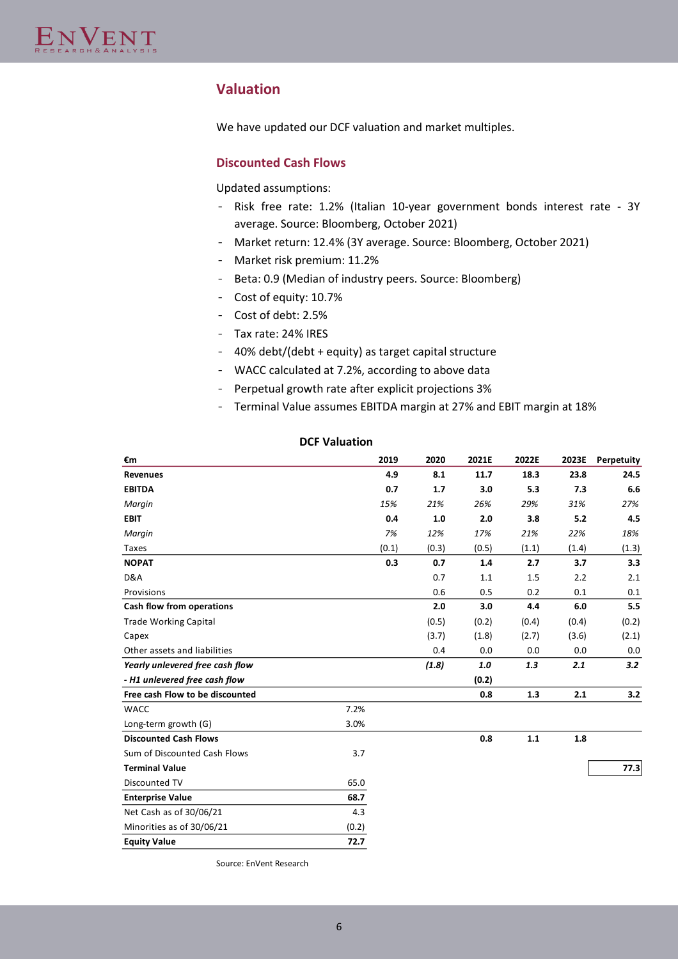# **Valuation**

We have updated our DCF valuation and market multiples.

#### **Discounted Cash Flows**

Updated assumptions:

- Risk free rate: 1.2% (Italian 10-year government bonds interest rate 3Y average. Source: Bloomberg, October 2021)
- Market return: 12.4% (3Y average. Source: Bloomberg, October 2021)
- Market risk premium: 11.2%
- Beta: 0.9 (Median of industry peers. Source: Bloomberg)
- Cost of equity: 10.7%
- Cost of debt: 2.5%
- Tax rate: 24% IRES
- 40% debt/(debt + equity) as target capital structure
- WACC calculated at 7.2%, according to above data
- Perpetual growth rate after explicit projections 3%
- Terminal Value assumes EBITDA margin at 27% and EBIT margin at 18%

#### **DCF Valuation**

| €m                              | 2019  | 2020  | 2021E | 2022E | 2023E | Perpetuity |
|---------------------------------|-------|-------|-------|-------|-------|------------|
| <b>Revenues</b>                 | 4.9   | 8.1   | 11.7  | 18.3  | 23.8  | 24.5       |
| <b>EBITDA</b>                   | 0.7   | 1.7   | 3.0   | 5.3   | 7.3   | 6.6        |
| Margin                          | 15%   | 21%   | 26%   | 29%   | 31%   | 27%        |
| <b>EBIT</b>                     | 0.4   | 1.0   | 2.0   | 3.8   | 5.2   | 4.5        |
| Margin                          | 7%    | 12%   | 17%   | 21%   | 22%   | 18%        |
| Taxes                           | (0.1) | (0.3) | (0.5) | (1.1) | (1.4) | (1.3)      |
| <b>NOPAT</b>                    | 0.3   | 0.7   | 1.4   | 2.7   | 3.7   | 3.3        |
| D&A                             |       | 0.7   | 1.1   | 1.5   | 2.2   | 2.1        |
| Provisions                      |       | 0.6   | 0.5   | 0.2   | 0.1   | 0.1        |
| Cash flow from operations       |       | 2.0   | 3.0   | 4.4   | 6.0   | 5.5        |
| <b>Trade Working Capital</b>    |       | (0.5) | (0.2) | (0.4) | (0.4) | (0.2)      |
| Capex                           |       | (3.7) | (1.8) | (2.7) | (3.6) | (2.1)      |
| Other assets and liabilities    |       | 0.4   | 0.0   | 0.0   | 0.0   | 0.0        |
| Yearly unlevered free cash flow |       | (1.8) | 1.0   | 1.3   | 2.1   | 3.2        |
| - H1 unlevered free cash flow   |       |       | (0.2) |       |       |            |
| Free cash Flow to be discounted |       |       | 0.8   | 1.3   | 2.1   | 3.2        |
| <b>WACC</b>                     | 7.2%  |       |       |       |       |            |
| Long-term growth (G)            | 3.0%  |       |       |       |       |            |
| <b>Discounted Cash Flows</b>    |       |       | 0.8   | 1.1   | 1.8   |            |
| Sum of Discounted Cash Flows    | 3.7   |       |       |       |       |            |
| <b>Terminal Value</b>           |       |       |       |       |       | 77.3       |
| Discounted TV                   | 65.0  |       |       |       |       |            |
| <b>Enterprise Value</b>         | 68.7  |       |       |       |       |            |
| Net Cash as of 30/06/21         | 4.3   |       |       |       |       |            |
| Minorities as of 30/06/21       | (0.2) |       |       |       |       |            |
| <b>Equity Value</b>             | 72.7  |       |       |       |       |            |

Source: EnVent Research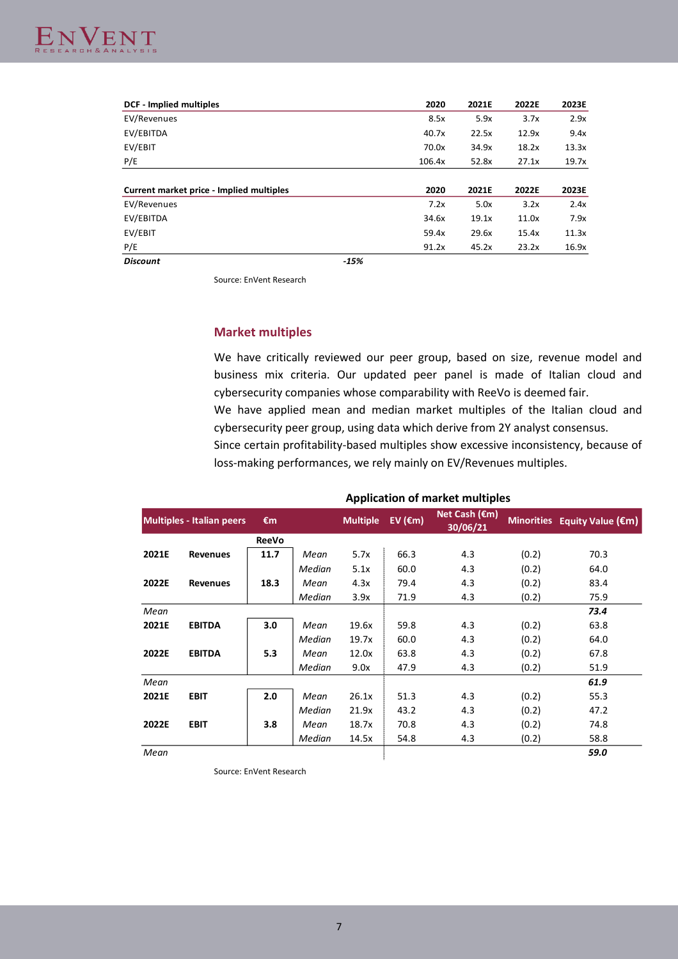

| <b>DCF</b> - Implied multiples           |        | 2020   | 2021E | 2022E | 2023E |
|------------------------------------------|--------|--------|-------|-------|-------|
| EV/Revenues                              |        | 8.5x   | 5.9x  | 3.7x  | 2.9x  |
| EV/EBITDA                                |        | 40.7x  | 22.5x | 12.9x | 9.4x  |
| EV/EBIT                                  |        | 70.0x  | 34.9x | 18.2x | 13.3x |
| P/E                                      |        | 106.4x | 52.8x | 27.1x | 19.7x |
|                                          |        |        |       |       |       |
| Current market price - Implied multiples |        | 2020   | 2021E | 2022E | 2023E |
| EV/Revenues                              |        | 7.2x   | 5.0x  | 3.2x  | 2.4x  |
| EV/EBITDA                                |        | 34.6x  | 19.1x | 11.0x | 7.9x  |
| EV/EBIT                                  |        | 59.4x  | 29.6x | 15.4x | 11.3x |
| P/E                                      |        | 91.2x  | 45.2x | 23.2x | 16.9x |
| <b>Discount</b>                          | $-15%$ |        |       |       |       |

Source: EnVent Research

#### **Market multiples**

We have critically reviewed our peer group, based on size, revenue model and business mix criteria. Our updated peer panel is made of Italian cloud and cybersecurity companies whose comparability with ReeVo is deemed fair. We have applied mean and median market multiples of the Italian cloud and cybersecurity peer group, using data which derive from 2Y analyst consensus.

Since certain profitability-based multiples show excessive inconsistency, because of loss-making performances, we rely mainly on EV/Revenues multiples.

|       | <b>Multiples - Italian peers</b> | €m           |        | <b>Multiple</b> | EV ( $\epsilon$ m) | Net Cash $(\epsilon m)$<br>30/06/21 |       | Minorities Equity Value (€m) |
|-------|----------------------------------|--------------|--------|-----------------|--------------------|-------------------------------------|-------|------------------------------|
|       |                                  | <b>ReeVo</b> |        |                 |                    |                                     |       |                              |
| 2021E | <b>Revenues</b>                  | 11.7         | Mean   | 5.7x            | 66.3               | 4.3                                 | (0.2) | 70.3                         |
|       |                                  |              | Median | 5.1x            | 60.0               | 4.3                                 | (0.2) | 64.0                         |
| 2022E | <b>Revenues</b>                  | 18.3         | Mean   | 4.3x            | 79.4               | 4.3                                 | (0.2) | 83.4                         |
|       |                                  |              | Median | 3.9x            | 71.9               | 4.3                                 | (0.2) | 75.9                         |
| Mean  |                                  |              |        |                 |                    |                                     |       | 73.4                         |
| 2021E | <b>EBITDA</b>                    | 3.0          | Mean   | 19.6x           | 59.8               | 4.3                                 | (0.2) | 63.8                         |
|       |                                  |              | Median | 19.7x           | 60.0               | 4.3                                 | (0.2) | 64.0                         |
| 2022E | <b>EBITDA</b>                    | 5.3          | Mean   | 12.0x           | 63.8               | 4.3                                 | (0.2) | 67.8                         |
|       |                                  |              | Median | 9.0x            | 47.9               | 4.3                                 | (0.2) | 51.9                         |
| Mean  |                                  |              |        |                 |                    |                                     |       | 61.9                         |
| 2021E | <b>EBIT</b>                      | 2.0          | Mean   | 26.1x           | 51.3               | 4.3                                 | (0.2) | 55.3                         |
|       |                                  |              | Median | 21.9x           | 43.2               | 4.3                                 | (0.2) | 47.2                         |
| 2022E | <b>EBIT</b>                      | 3.8          | Mean   | 18.7x           | 70.8               | 4.3                                 | (0.2) | 74.8                         |
|       |                                  |              | Median | 14.5x           | 54.8               | 4.3                                 | (0.2) | 58.8                         |
| Mean  |                                  |              |        |                 |                    |                                     |       | 59.0                         |

#### **Application of market multiples**

Source: EnVent Research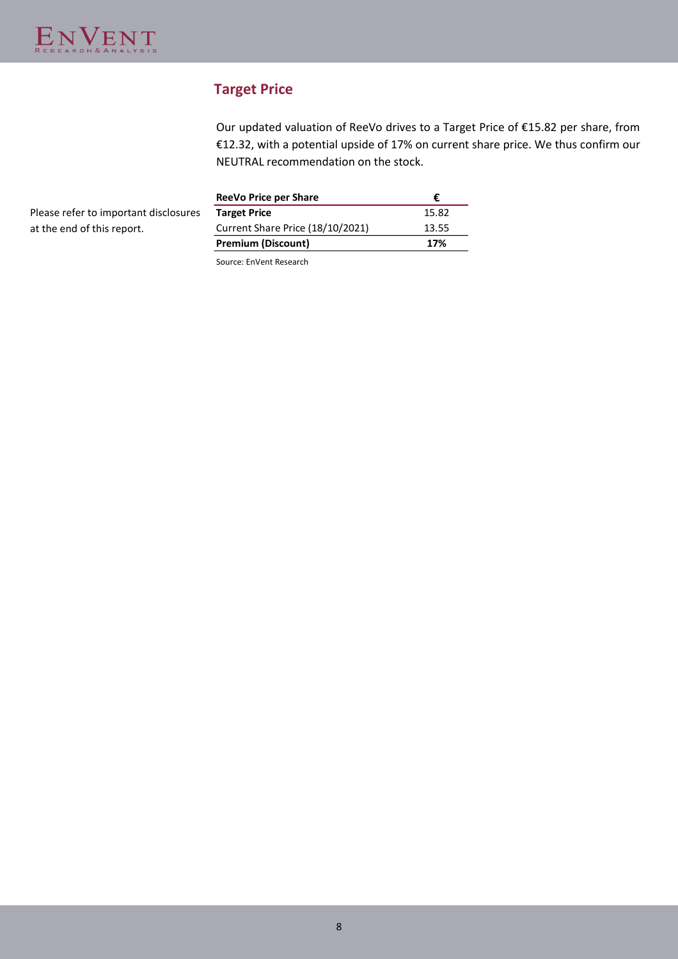# **Target Price**

Our updated valuation of ReeVo drives to a Target Price of €15.82 per share, from €12.32, with a potential upside of 17% on current share price. We thus confirm our NEUTRAL recommendation on the stock.

Please refer to important disclosures at the end of this report.

| <b>ReeVo Price per Share</b>     |       |
|----------------------------------|-------|
| <b>Target Price</b>              | 15.82 |
| Current Share Price (18/10/2021) | 13.55 |
| <b>Premium (Discount)</b>        | 17%   |

Source: EnVent Research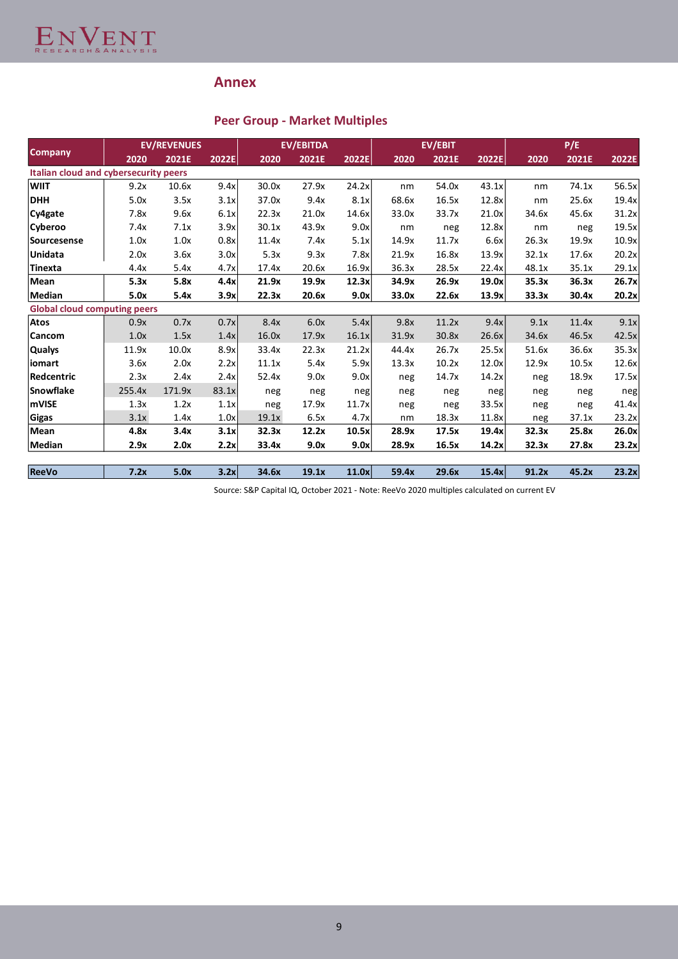

# **Annex**

# **Peer Group - Market Multiples**

| <b>Company</b>                        |        | <b>EV/REVENUES</b> |       |       | <b>EV/EBITDA</b> |       |       | <b>EV/EBIT</b> |       | P/E   |       |       |
|---------------------------------------|--------|--------------------|-------|-------|------------------|-------|-------|----------------|-------|-------|-------|-------|
|                                       | 2020   | 2021E              | 2022E | 2020  | 2021E            | 2022E | 2020  | 2021E          | 2022E | 2020  | 2021E | 2022E |
| Italian cloud and cybersecurity peers |        |                    |       |       |                  |       |       |                |       |       |       |       |
| <b>WIIT</b>                           | 9.2x   | 10.6x              | 9.4x  | 30.0x | 27.9x            | 24.2x | nm    | 54.0x          | 43.1x | nm    | 74.1x | 56.5x |
| <b>DHH</b>                            | 5.0x   | 3.5x               | 3.1x  | 37.0x | 9.4x             | 8.1x  | 68.6x | 16.5x          | 12.8x | nm    | 25.6x | 19.4x |
| Cy4gate                               | 7.8x   | 9.6x               | 6.1x  | 22.3x | 21.0x            | 14.6x | 33.0x | 33.7x          | 21.0x | 34.6x | 45.6x | 31.2x |
| Cyberoo                               | 7.4x   | 7.1x               | 3.9x  | 30.1x | 43.9x            | 9.0x  | nm    | neg            | 12.8x | nm    | neg   | 19.5x |
| Sourcesense                           | 1.0x   | 1.0x               | 0.8x  | 11.4x | 7.4x             | 5.1x  | 14.9x | 11.7x          | 6.6x  | 26.3x | 19.9x | 10.9x |
| <b>Unidata</b>                        | 2.0x   | 3.6x               | 3.0x  | 5.3x  | 9.3x             | 7.8x  | 21.9x | 16.8x          | 13.9x | 32.1x | 17.6x | 20.2x |
| Tinexta                               | 4.4x   | 5.4x               | 4.7x  | 17.4x | 20.6x            | 16.9x | 36.3x | 28.5x          | 22.4x | 48.1x | 35.1x | 29.1x |
| Mean                                  | 5.3x   | 5.8x               | 4.4x  | 21.9x | 19.9x            | 12.3x | 34.9x | 26.9x          | 19.0x | 35.3x | 36.3x | 26.7x |
| <b>Median</b>                         | 5.0x   | 5.4x               | 3.9x  | 22.3x | 20.6x            | 9.0x  | 33.0x | 22.6x          | 13.9x | 33.3x | 30.4x | 20.2x |
| <b>Global cloud computing peers</b>   |        |                    |       |       |                  |       |       |                |       |       |       |       |
| <b>Atos</b>                           | 0.9x   | 0.7x               | 0.7x  | 8.4x  | 6.0x             | 5.4x  | 9.8x  | 11.2x          | 9.4x  | 9.1x  | 11.4x | 9.1x  |
| <b>Cancom</b>                         | 1.0x   | 1.5x               | 1.4x  | 16.0x | 17.9x            | 16.1x | 31.9x | 30.8x          | 26.6x | 34.6x | 46.5x | 42.5x |
| Qualys                                | 11.9x  | 10.0x              | 8.9x  | 33.4x | 22.3x            | 21.2x | 44.4x | 26.7x          | 25.5x | 51.6x | 36.6x | 35.3x |
| iomart                                | 3.6x   | 2.0x               | 2.2x  | 11.1x | 5.4x             | 5.9x  | 13.3x | 10.2x          | 12.0x | 12.9x | 10.5x | 12.6x |
| Redcentric                            | 2.3x   | 2.4x               | 2.4x  | 52.4x | 9.0x             | 9.0x  | neg   | 14.7x          | 14.2x | neg   | 18.9x | 17.5x |
| Snowflake                             | 255.4x | 171.9x             | 83.1x | neg   | neg              | neg   | neg   | neg            | neg   | neg   | neg   | neg   |
| mVISE                                 | 1.3x   | 1.2x               | 1.1x  | neg   | 17.9x            | 11.7x | neg   | neg            | 33.5x | neg   | neg   | 41.4x |
| Gigas                                 | 3.1x   | 1.4x               | 1.0x  | 19.1x | 6.5x             | 4.7x  | nm    | 18.3x          | 11.8x | neg   | 37.1x | 23.2x |
| Mean                                  | 4.8x   | 3.4x               | 3.1x  | 32.3x | 12.2x            | 10.5x | 28.9x | 17.5x          | 19.4x | 32.3x | 25.8x | 26.0x |
| <b>Median</b>                         | 2.9x   | 2.0x               | 2.2x  | 33.4x | 9.0x             | 9.0x  | 28.9x | 16.5x          | 14.2x | 32.3x | 27.8x | 23.2x |
|                                       |        |                    |       |       |                  |       |       |                |       |       |       |       |
| <b>ReeVo</b>                          | 7.2x   | 5.0x               | 3.2x  | 34.6x | 19.1x            | 11.0x | 59.4x | 29.6x          | 15.4x | 91.2x | 45.2x | 23.2x |

Source: S&P Capital IQ, October 2021 - Note: ReeVo 2020 multiples calculated on current EV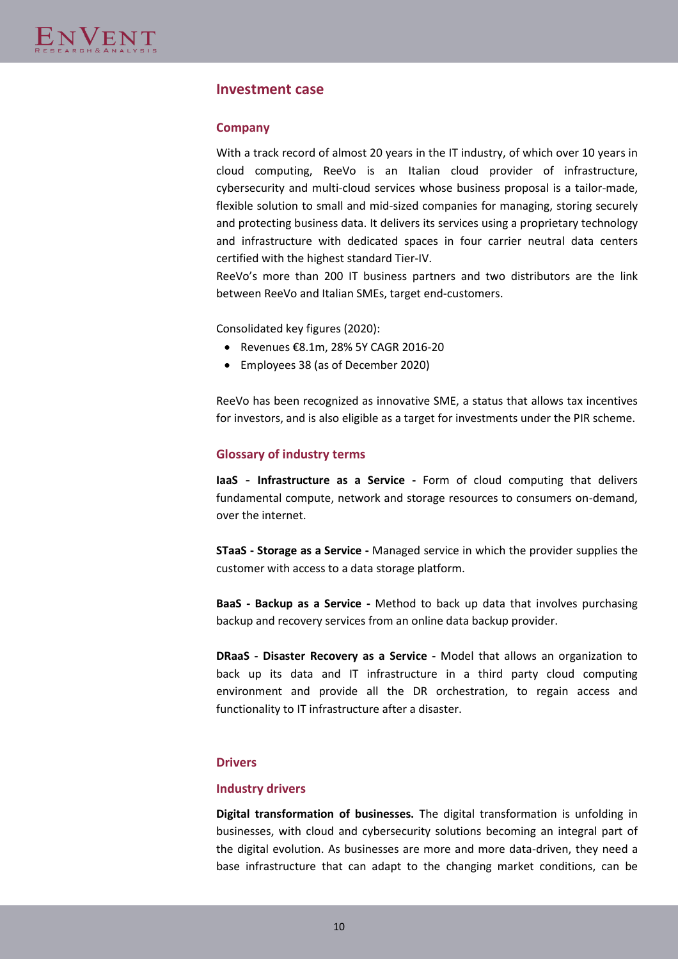## **Investment case**

#### **Company**

With a track record of almost 20 years in the IT industry, of which over 10 years in cloud computing, ReeVo is an Italian cloud provider of infrastructure, cybersecurity and multi-cloud services whose business proposal is a tailor-made, flexible solution to small and mid-sized companies for managing, storing securely and protecting business data. It delivers its services using a proprietary technology and infrastructure with dedicated spaces in four carrier neutral data centers certified with the highest standard Tier-IV.

ReeVo's more than 200 IT business partners and two distributors are the link between ReeVo and Italian SMEs, target end-customers.

Consolidated key figures (2020):

- Revenues €8.1m, 28% 5Y CAGR 2016-20
- Employees 38 (as of December 2020)

ReeVo has been recognized as innovative SME, a status that allows tax incentives for investors, and is also eligible as a target for investments under the PIR scheme.

#### **Glossary of industry terms**

**IaaS** - **Infrastructure as a Service -** Form of cloud computing that delivers fundamental compute, network and storage resources to consumers on-demand, over the internet.

**STaaS - Storage as a Service -** Managed service in which the provider supplies the customer with access to a data storage platform.

**BaaS - Backup as a Service -** Method to back up data that involves purchasing backup and recovery services from an online data backup provider.

**DRaaS - Disaster Recovery as a Service -** Model that allows an organization to back up its data and IT infrastructure in a third party cloud computing environment and provide all the DR orchestration, to regain access and functionality to IT infrastructure after a disaster.

#### **Drivers**

#### **Industry drivers**

**Digital transformation of businesses.** The digital transformation is unfolding in businesses, with cloud and cybersecurity solutions becoming an integral part of the digital evolution. As businesses are more and more data-driven, they need a base infrastructure that can adapt to the changing market conditions, can be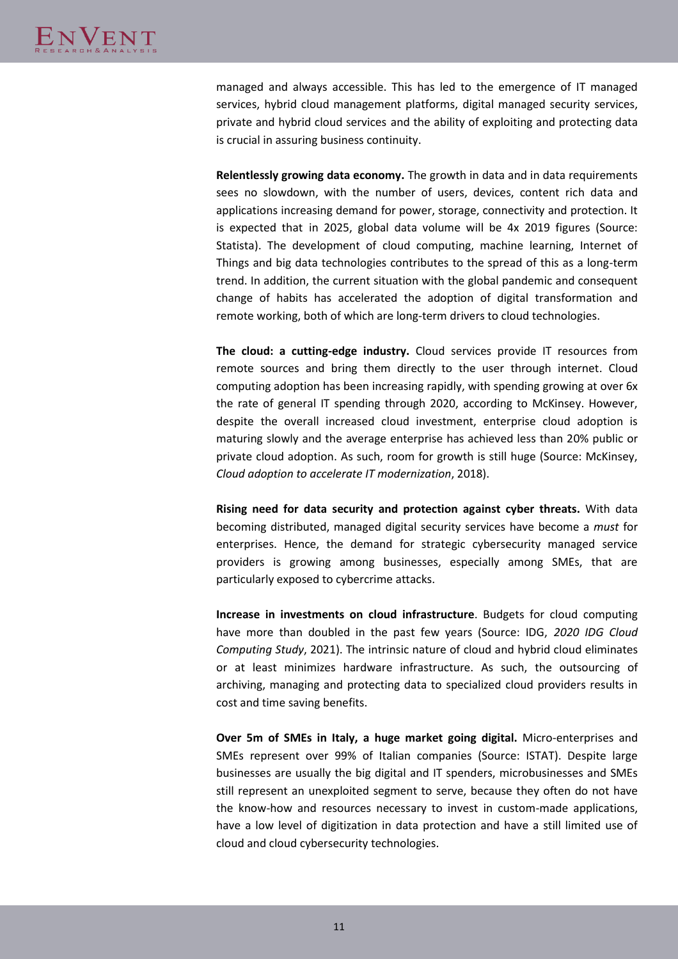managed and always accessible. This has led to the emergence of IT managed services, hybrid cloud management platforms, digital managed security services, private and hybrid cloud services and the ability of exploiting and protecting data is crucial in assuring business continuity.

**Relentlessly growing data economy.** The growth in data and in data requirements sees no slowdown, with the number of users, devices, content rich data and applications increasing demand for power, storage, connectivity and protection. It is expected that in 2025, global data volume will be 4x 2019 figures (Source: Statista). The development of cloud computing, machine learning, Internet of Things and big data technologies contributes to the spread of this as a long-term trend. In addition, the current situation with the global pandemic and consequent change of habits has accelerated the adoption of digital transformation and remote working, both of which are long-term drivers to cloud technologies.

**The cloud: a cutting-edge industry.** Cloud services provide IT resources from remote sources and bring them directly to the user through internet. Cloud computing adoption has been increasing rapidly, with spending growing at over 6x the rate of general IT spending through 2020, according to McKinsey. However, despite the overall increased cloud investment, enterprise cloud adoption is maturing slowly and the average enterprise has achieved less than 20% public or private cloud adoption. As such, room for growth is still huge (Source: McKinsey, *Cloud adoption to accelerate IT modernization*, 2018).

**Rising need for data security and protection against cyber threats.** With data becoming distributed, managed digital security services have become a *must* for enterprises. Hence, the demand for strategic cybersecurity managed service providers is growing among businesses, especially among SMEs, that are particularly exposed to cybercrime attacks.

**Increase in investments on cloud infrastructure**. Budgets for cloud computing have more than doubled in the past few years (Source: IDG, *2020 IDG Cloud Computing Study*, 2021). The intrinsic nature of cloud and hybrid cloud eliminates or at least minimizes hardware infrastructure. As such, the outsourcing of archiving, managing and protecting data to specialized cloud providers results in cost and time saving benefits.

**Over 5m of SMEs in Italy, a huge market going digital.** Micro-enterprises and SMEs represent over 99% of Italian companies (Source: ISTAT). Despite large businesses are usually the big digital and IT spenders, microbusinesses and SMEs still represent an unexploited segment to serve, because they often do not have the know-how and resources necessary to invest in custom-made applications, have a low level of digitization in data protection and have a still limited use of cloud and cloud cybersecurity technologies.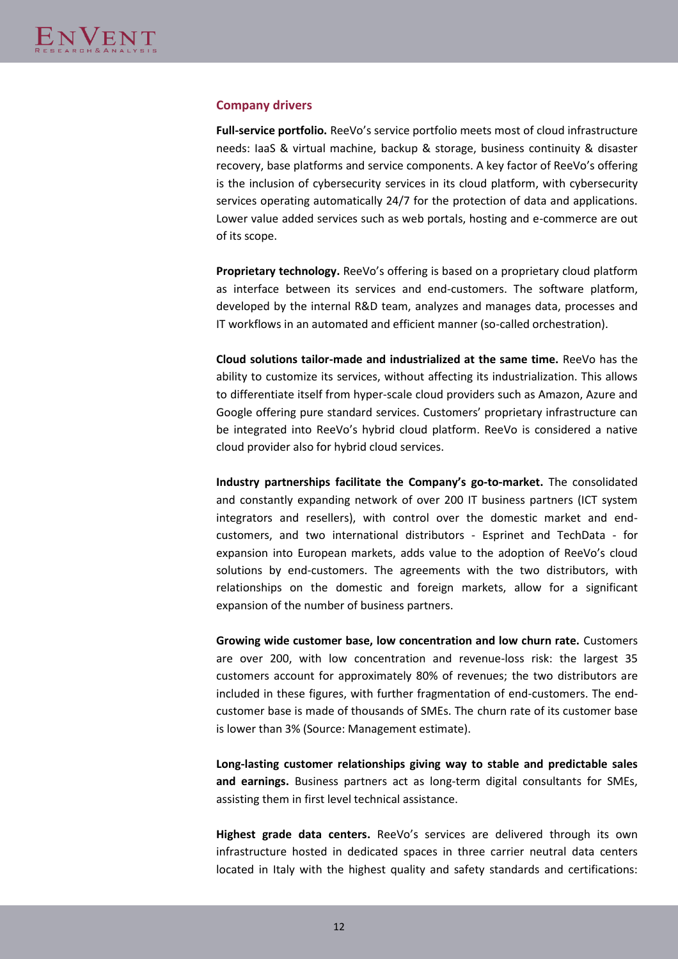#### **Company drivers**

**Full-service portfolio.** ReeVo's service portfolio meets most of cloud infrastructure needs: IaaS & virtual machine, backup & storage, business continuity & disaster recovery, base platforms and service components. A key factor of ReeVo's offering is the inclusion of cybersecurity services in its cloud platform, with cybersecurity services operating automatically 24/7 for the protection of data and applications. Lower value added services such as web portals, hosting and e-commerce are out of its scope.

**Proprietary technology.** ReeVo's offering is based on a proprietary cloud platform as interface between its services and end-customers. The software platform, developed by the internal R&D team, analyzes and manages data, processes and IT workflows in an automated and efficient manner (so-called orchestration).

**Cloud solutions tailor-made and industrialized at the same time.** ReeVo has the ability to customize its services, without affecting its industrialization. This allows to differentiate itself from hyper-scale cloud providers such as Amazon, Azure and Google offering pure standard services. Customers' proprietary infrastructure can be integrated into ReeVo's hybrid cloud platform. ReeVo is considered a native cloud provider also for hybrid cloud services.

**Industry partnerships facilitate the Company's go-to-market.** The consolidated and constantly expanding network of over 200 IT business partners (ICT system integrators and resellers), with control over the domestic market and endcustomers, and two international distributors - Esprinet and TechData - for expansion into European markets, adds value to the adoption of ReeVo's cloud solutions by end-customers. The agreements with the two distributors, with relationships on the domestic and foreign markets, allow for a significant expansion of the number of business partners.

**Growing wide customer base, low concentration and low churn rate.** Customers are over 200, with low concentration and revenue-loss risk: the largest 35 customers account for approximately 80% of revenues; the two distributors are included in these figures, with further fragmentation of end-customers. The endcustomer base is made of thousands of SMEs. The churn rate of its customer base is lower than 3% (Source: Management estimate).

**Long-lasting customer relationships giving way to stable and predictable sales and earnings.** Business partners act as long-term digital consultants for SMEs, assisting them in first level technical assistance.

**Highest grade data centers.** ReeVo's services are delivered through its own infrastructure hosted in dedicated spaces in three carrier neutral data centers located in Italy with the highest quality and safety standards and certifications: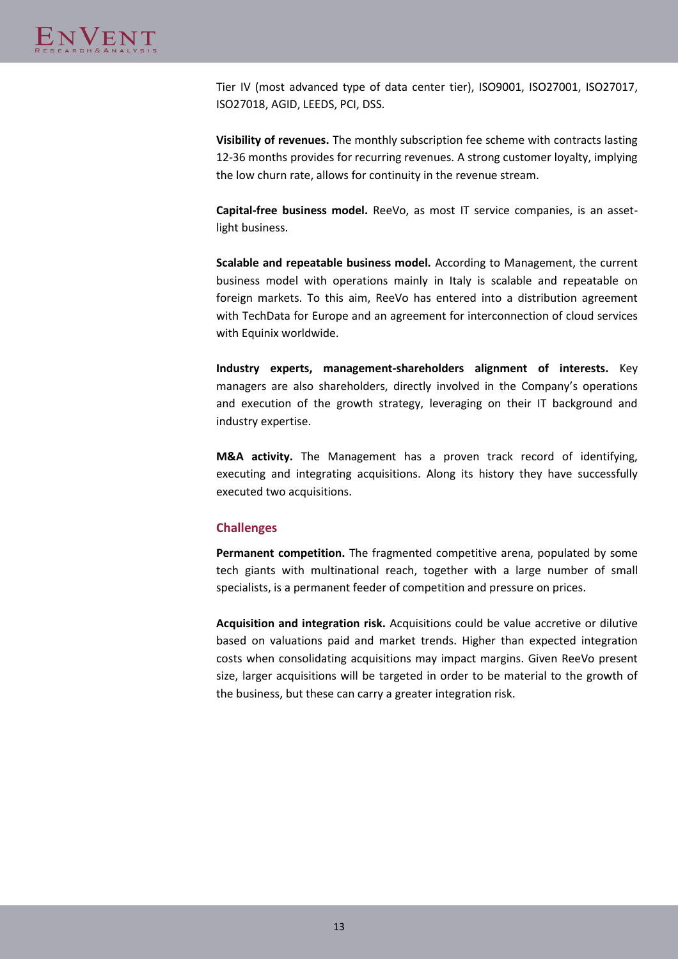Tier IV (most advanced type of data center tier), ISO9001, ISO27001, ISO27017, ISO27018, AGID, LEEDS, PCI, DSS.

**Visibility of revenues.** The monthly subscription fee scheme with contracts lasting 12-36 months provides for recurring revenues. A strong customer loyalty, implying the low churn rate, allows for continuity in the revenue stream.

**Capital-free business model.** ReeVo, as most IT service companies, is an assetlight business.

**Scalable and repeatable business model.** According to Management, the current business model with operations mainly in Italy is scalable and repeatable on foreign markets. To this aim, ReeVo has entered into a distribution agreement with TechData for Europe and an agreement for interconnection of cloud services with Equinix worldwide.

**Industry experts, management-shareholders alignment of interests.** Key managers are also shareholders, directly involved in the Company's operations and execution of the growth strategy, leveraging on their IT background and industry expertise.

**M&A activity.** The Management has a proven track record of identifying, executing and integrating acquisitions. Along its history they have successfully executed two acquisitions.

## **Challenges**

**Permanent competition.** The fragmented competitive arena, populated by some tech giants with multinational reach, together with a large number of small specialists, is a permanent feeder of competition and pressure on prices.

**Acquisition and integration risk.** Acquisitions could be value accretive or dilutive based on valuations paid and market trends. Higher than expected integration costs when consolidating acquisitions may impact margins. Given ReeVo present size, larger acquisitions will be targeted in order to be material to the growth of the business, but these can carry a greater integration risk.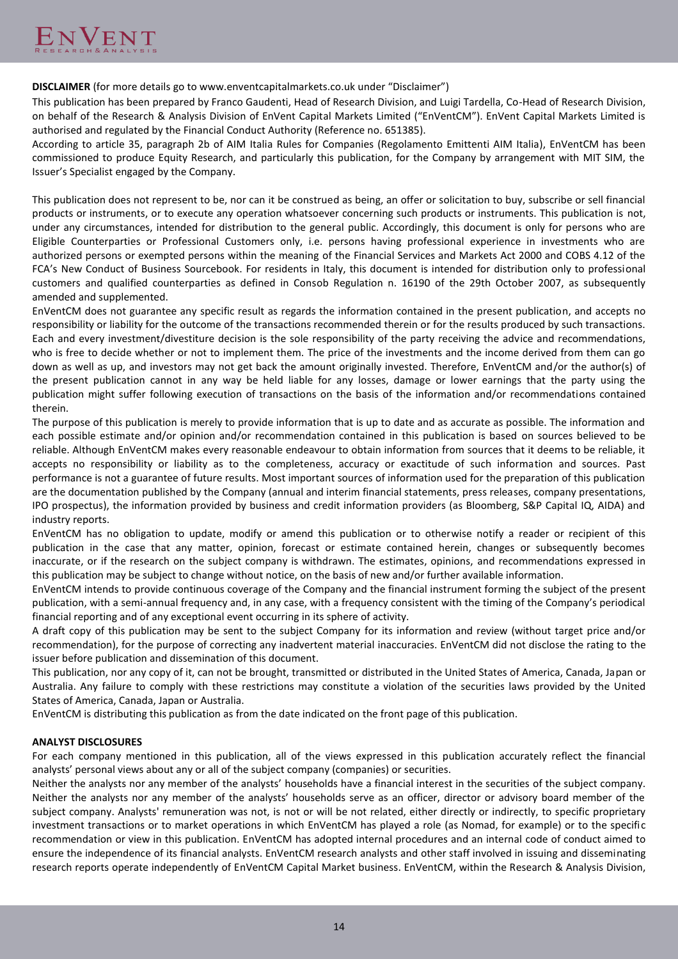**DISCLAIMER** (for more details go to www.enventcapitalmarkets.co.uk under "Disclaimer")

This publication has been prepared by Franco Gaudenti, Head of Research Division, and Luigi Tardella, Co-Head of Research Division, on behalf of the Research & Analysis Division of EnVent Capital Markets Limited ("EnVentCM"). EnVent Capital Markets Limited is authorised and regulated by the Financial Conduct Authority (Reference no. 651385).

According to article 35, paragraph 2b of AIM Italia Rules for Companies (Regolamento Emittenti AIM Italia), EnVentCM has been commissioned to produce Equity Research, and particularly this publication, for the Company by arrangement with MIT SIM, the Issuer's Specialist engaged by the Company.

This publication does not represent to be, nor can it be construed as being, an offer or solicitation to buy, subscribe or sell financial products or instruments, or to execute any operation whatsoever concerning such products or instruments. This publication is not, under any circumstances, intended for distribution to the general public. Accordingly, this document is only for persons who are Eligible Counterparties or Professional Customers only, i.e. persons having professional experience in investments who are authorized persons or exempted persons within the meaning of the Financial Services and Markets Act 2000 and COBS 4.12 of the FCA's New Conduct of Business Sourcebook. For residents in Italy, this document is intended for distribution only to professional customers and qualified counterparties as defined in Consob Regulation n. 16190 of the 29th October 2007, as subsequently amended and supplemented.

EnVentCM does not guarantee any specific result as regards the information contained in the present publication, and accepts no responsibility or liability for the outcome of the transactions recommended therein or for the results produced by such transactions. Each and every investment/divestiture decision is the sole responsibility of the party receiving the advice and recommendations, who is free to decide whether or not to implement them. The price of the investments and the income derived from them can go down as well as up, and investors may not get back the amount originally invested. Therefore, EnVentCM and/or the author(s) of the present publication cannot in any way be held liable for any losses, damage or lower earnings that the party using the publication might suffer following execution of transactions on the basis of the information and/or recommendations contained therein.

The purpose of this publication is merely to provide information that is up to date and as accurate as possible. The information and each possible estimate and/or opinion and/or recommendation contained in this publication is based on sources believed to be reliable. Although EnVentCM makes every reasonable endeavour to obtain information from sources that it deems to be reliable, it accepts no responsibility or liability as to the completeness, accuracy or exactitude of such information and sources. Past performance is not a guarantee of future results. Most important sources of information used for the preparation of this publication are the documentation published by the Company (annual and interim financial statements, press releases, company presentations, IPO prospectus), the information provided by business and credit information providers (as Bloomberg, S&P Capital IQ, AIDA) and industry reports.

EnVentCM has no obligation to update, modify or amend this publication or to otherwise notify a reader or recipient of this publication in the case that any matter, opinion, forecast or estimate contained herein, changes or subsequently becomes inaccurate, or if the research on the subject company is withdrawn. The estimates, opinions, and recommendations expressed in this publication may be subject to change without notice, on the basis of new and/or further available information.

EnVentCM intends to provide continuous coverage of the Company and the financial instrument forming the subject of the present publication, with a semi-annual frequency and, in any case, with a frequency consistent with the timing of the Company's periodical financial reporting and of any exceptional event occurring in its sphere of activity.

A draft copy of this publication may be sent to the subject Company for its information and review (without target price and/or recommendation), for the purpose of correcting any inadvertent material inaccuracies. EnVentCM did not disclose the rating to the issuer before publication and dissemination of this document.

This publication, nor any copy of it, can not be brought, transmitted or distributed in the United States of America, Canada, Japan or Australia. Any failure to comply with these restrictions may constitute a violation of the securities laws provided by the United States of America, Canada, Japan or Australia.

EnVentCM is distributing this publication as from the date indicated on the front page of this publication.

#### **ANALYST DISCLOSURES**

For each company mentioned in this publication, all of the views expressed in this publication accurately reflect the financial analysts' personal views about any or all of the subject company (companies) or securities.

Neither the analysts nor any member of the analysts' households have a financial interest in the securities of the subject company. Neither the analysts nor any member of the analysts' households serve as an officer, director or advisory board member of the subject company. Analysts' remuneration was not, is not or will be not related, either directly or indirectly, to specific proprietary investment transactions or to market operations in which EnVentCM has played a role (as Nomad, for example) or to the specific recommendation or view in this publication. EnVentCM has adopted internal procedures and an internal code of conduct aimed to ensure the independence of its financial analysts. EnVentCM research analysts and other staff involved in issuing and disseminating research reports operate independently of EnVentCM Capital Market business. EnVentCM, within the Research & Analysis Division,